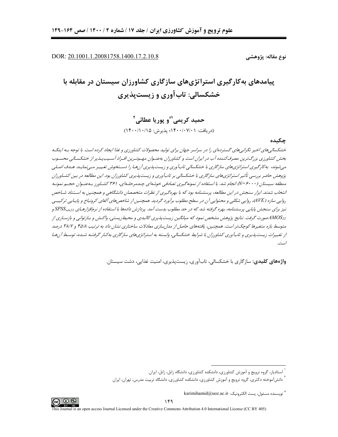DOR: 20.1001.1.20081758.1400.17.2.10.8

نوع مقاله: پژوهشے

# پیامدهای به کارگیری استراتژیهای سازگاری کشاورزان سیستان در مقابله با خشکسالي: تاب آوري و زيست پذيري

حميد کريمي\ٌّو پوريا عطائي` (دريافت: ١۴٠٠/٠٧/٠١)؛ پذيرش: ١۴٠٠/١٠/١٥)

جكىدە

خشکساله های اخیر نگرانه های گستردهای را در سراسر جهان برای تولید محصولات کشاورزی و غذا ایجاد کرده است. با توجه بـه اینکـه بخش کشاورزی بزرگ ترین مصرف کننده آب در ایران است و کشاورزان بهعنیوان مصه تبرین افساد آبسیب پیذیر از خشکسالی محسبوب می شوند، به کارگیری استراتژیهای سازگاری با خشکسالی تابآوری و زیست پذیری آن هـا را دسـتخوش تغییـر مـی نمایـد. هـدف اصـلی پژوهش حاضر بررسی تأثیر استراتژیهای سازگاری با خشکسالی بر تابآوری و زیستپذیری کشاورزان بود. این مطالعه در بین کشـاورزان منطقه سیستان (۷۰۰۰های انجام شد. با استفاده از نمونه گیری تصادفی خوشهای چندمرحلـهای، ۳۶۱ کشـاورز بـهءنـوان حجـم نمونـه انتخاب شدند. ابزار سنجش در این مطالعه، پرسشنامه بود که با بهرهگیری از نظرات متخصصان دانشگاهی و همچنین به استناد شباخص روایی سازه (AVE)، روایی شکلی و محتوایی آن در سطح مطلوب برآورد گردید. همچنین از شاخص *های آلفای کرونباخ و پای*پایی ترکیب نیز برای سنجش پایایی پرسشنامه، بهره گرفته شد که در حد مطلوب بدست آمد. پردازش دادهها با استفاده از نرمافزارهـای SPSSwin23 و ...<br>د.AMOS<sub>22</sub> صورت گرفت. نتایج پژوهش مشخص نمود که میانگین زیست پذیری کالبدی و محیطزیستی، واکنش و بازتوانی و بازسازی از متوسط بازه متغیرها کوچک تر است. همچنین، یافتههای حاصل از مدل سازی معادلات ساختاری نشان داد به ترتیب ۴۵/۸ و ۳۸/۷ درصد از تغییرات زیست پذیری و تاب آوری کشاورزان با شیرابط خشکساله ، وابسته به استراتژی های سازگاری به کپار گرفتیه شیده، توسیط آن هپا است.

**واژههای کلیدی:** سازگاری با خشکسالی، تابآوری، زیستیذیری، امنیت غذایی، دشت سیستان.



<sup>&</sup>lt;sup>٬</sup> استادیار، گروه ترویج و آموزش کشاورزی، دانشکده کشاورزی، دانشگاه زابل، زابل، ایران.

دانش آموخته دکتری، گروه ترویج و آموزش کشاورزی، دانشکده کشاورزی، دانشگاه تربیت مدرس، تهران، ایران.

<sup>&</sup>quot; نويسنده مسئول، يست الكترونيك: karimihamid@uoz.ac.ir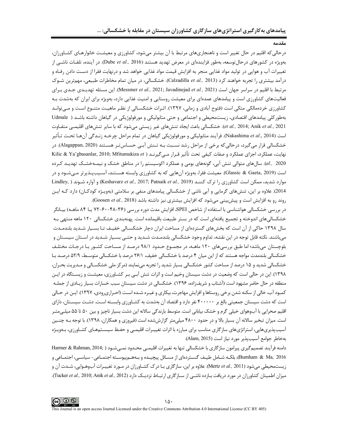وقدوا

درحالی که اقلیم در حال تغییر است و ناهنجاریهای مرتبط با آن بیشتر میشود، کشاورزی و معیشـت خانوارهـای کشـاورزان، بهویژه در کشورهای درحالتوسعه، بهطور فزایندهای در معرض تهدید هستند (Dube *et al.,* 2016). در آینده، تلفـات ناشــی از تغییرات آب و هوایی در تولید مواد غذایی منجر به افزایش قیمت مواد غذایی خواهد شد و درنهایت فقرا از دست دادن رفـاه و درآمد بیشتری را تجربه خواهند کرد (Calzadilla et al., 2013). خشکسالی، در میان تمام مخاطرات طبیعی، مهمترین شـوک مرتبط با اقليم در سراسر جهان است (Messmer et al., 2021; Javadinejad et al., 2021). اين مسئله تهديـدي جـدي بـراي فعالیتهای کشاورزی است و پیامدهای عمدهای برای معیشت روستایی و امنیت غذایی دارد، بهویژه برای ایران که بهشدت بـه کشاورزی خردهمالکی متکی است (فتوح آبادی و زمانی، ۱۳۹۷). اثـرات خشکسـالی از نظـر ماهیـت متنـوع اسـت و مـی;توانـد بهطور کلی پیامدهای اقتصادی، زیستمحیطی و اجتماعی و حتی متابولیکی و مورفولوژیکی در گیاهان داشته باشـد ( Udmale et al., 2014; Anik et al., 2021). خشكسالي باعث ايجاد تنشهاى غير زيستي مي شود كه با ساير تنشهاى اقليمـي متفـاوت است (Nakashima *et al.*, 2014). فرآيند متابوليكي و مورفولوژيكي گياهان در تمام مراحل چرخـه زنـدگي آنهـا تحـت تـأثير خشکسالی قرار میگیرد، درحالیکه برخی از مراحل رشد نسـبت بـه تـنش آبـی حسـاستـر هسـتند (Alagappan, 2020). در نهايت، عملكرد، اجزاي عملكرد و صفات كيفي تحت تأثير قـرار مـي5يرنـد ( Kilic & Yaˇgbasanlar, 2010; Mfitumukiza et al., 2020). سالهای متوالی تنش آبی، گونههای بومی و عملکرد اکوسیستم را در مناطق خشک و نیمـهخشـک تهدیـد کـرده است (Glassic & Gaeta, 2019). معیشت فقرا، بهویژه آنهایی که به کشاورزی وابسته هسـتند، آسـیبپـذیرتر مـیشـود و در Lindley, ) و آواره شدید، ممکن است کشاورزی را ترک کننـد (Keshavarz et al., 2017; Patnaik et al., 2019) و آواره شـوند ( 2014). علاوه بر این، تنش۱عی گرمایی و آبی ناشی از خشکسالی پیامدهای منفی بر سلامتی (بهویـژه کودکـان) دارد کـه ایـن روند رو به افزایش است و پیشبینی میشود که افزایش بیشتری نیز داشته باشد (Goosen et al., 2018).

در بررسی خشکسالی هواشناسی با استفاده از شاخص SPEI، افزایش مدت دوره بررسی (۳۶–۴۸–۶۰–۷۲ یــا ۸۴ ماهــه) بیــانگر خشکسالیهای اندوخته و تجمیع یافتهای است که در بستر طبیعت باقیمانده است. پهنهبندی خشکسالی ۱۲۰ ماهه منتهی بـه سال ۱۳۹۸ حاکی از آن است که بخشهای گستردهای از مساحت ایران دچار خشکسـالی خفیـف تـا بسـیار شـدید بلندمـدت می باشند. نکته قابل توجه در این نقشه، تداوم وجود خشکسالی بلندمـدت شـدید و حتـی بسـیار شـدید در اسـتان سیسـتان و بلوچستان می باشد؛ اما طبق بررسی های ۱۲۰ ماهــه، در مجمــوع حــدود ۹۸/۱ درصـد از مســاحت کشــور بـا درجـات مختلـف خشکسالی بلندمدت مواجه هستند که از این میان ۴ درصد با خشکسالی خفیف، ۲۶/۱ درصد با خشکسالی متوسط، ۵۲/۹ درصـد بـا خشکسالی شدید و ۱۵ درصد از مساحت کشور خشکسالی بسیار شدید را تجربه می نمایند (مرکز ملی خشکسـالی و مـدیریت بحـران، ۱۳۹۸). این در حالی است که وضعیت در دشت سیستان وخیم است و اثرات تنش آبی بـر کشـاورزی، معیشـت و زیسـتگاه در ایـن منطقه در حال حاضر مشهود است (آشتاب و شریف;اده، ۱۳۹۶). خشکسالی در دشت سیستان سبب خسارات بسیار زیـادی از جملـه کمبود آب، خالي از سکنه شدن برخي روستاها و افزايش مهاجرت، بيکاري و غيـره شــده اسـت (احـراري,ودي، ١٣٩٧). ايـن در حـالي است که دشت سیستان جمعیتی بالغ بر ۴۰۰۰۰۰ نفر دارد و اقتصاد آن بهشدت به کشـاورزی وابســته اسـت. دشـت سیســتان، دارای اقلیم صحرایی با آبوهوای خیلی گرم و خشک بیابانی است. متوسط بارندگی سالانه این دشت بسیار ناچیز و بین ۵۰ تا ۵۵ میلـیمتـر است. میزان تبخیر سالانه آن بسیار بالا و در حدود ۴۸۰۰ میلیمتر گزارششده است (فیروزی و همکاران، ۱۳۹۸). با توجه بـه چنـین آسیبپذیریهایی، استراتژیهای سازگاری مناسب برای مبارزه با اثرات تغییـرات اقلیمـی و حفـظ سیسـتمهـای کشـاورزی، بـهویـژه بهخاطر جوامع آسيب يذير مورد نياز است (Alam, 2015).

دامنه فرآیند تصمیم گیری پیرامون سازگاری با خشکسالی تنها به تغییرات اقلیمـی محـدود نمـی شـود ( ;Harmer & Rahman, 2014 Burnham & Ma, 2016)، بلکـه شـامل طيـف گســتردهاي از مســائل پيچيــده و بــههــم.پيوســته اجتمــاعي- سياســي، اجتمــاعي و زیستمحیطی میشود (Mertz et al., 2011). علاوه بر این، سازگاری بـا درک کشـاورزان در مـورد تغییـرات آبوهـوایی، شـدت آن و میزان اطمینان کشاورزان در مورد دریافت بازده ناشمی از سازگاری ارتباط نزدیک دارد (Tucker et al., 2010; Anik et al., 2012).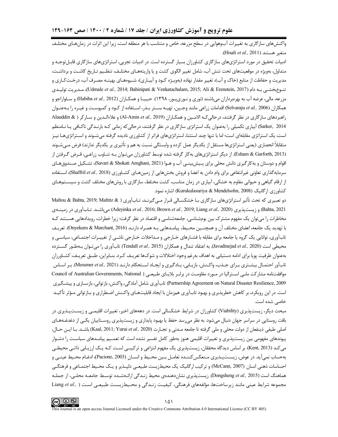واکنشهای سازگاری به تغییرات آبوهوایی در سطح مزرعه، خاص و متناسب با هر منطقه است، زیرا این اثرات در زمانهـای مختلـف متغير هستند (Hisali et al., 2011).

ادبیات تحقیق در مورد استراتژیهای سازگاری کشاورزان بسیار گسترده است. در ادبیات تجربی، استراتژیهای سازگاری قابـلتوجـه و متداول، بهویژه در موقعیتهای تحت تنش آب، شامل تغییر الگوی کشت و یا واریتههـای مختلـف، تنظـیم تـاریخ کاشـت و برداشـت، مدیریت و حفاظت از منابع (خاک و آب)، تغییر مقدار نهاده (بهویـژه کـود و آبیـاری)، شـیوههـای بهینـه مصـرف آب، درخـتکـاری و تنـوع بخشـي بـه دام (Udmale *et al.,* 2014; Bahinipati & Venkatachalam, 2015; Ali & Erenstein, 2017)، مـديريت توليـدي مزرعه، مالي، عرضه آب به بهرهبرداران مي باشند (نوري و نـوري بـور، ١٣٩٨). حبيبـا و همكـاران (Habiba et al., 2012) و سـلواراجو و همكاران (Selvaraju et al., 2006) اقدامات زراعي مانند وجين، تهيـه بسـتر بـذر، اسـتفاده از كـود و كمپوسـت و غيـره را بـهعنـوان راهبردهای سازگاری در نظر گرفتند، درحالی کـه الامـین و همکـاران (Al-Amin et al., 2019) و علاءالـدین و سـار کر ( & Alauddin Sarker, 2014) آبیاری تکمیلی را بهعنوان یک استراتژی سازگاری در نظر گرفتند، درحالی که زمانی کـه بارنـدگی ناکـافی پـا نـامنظم است، یک استراتژی مقابلهای است؛ اما با تنها چند استثنا، استراتژیهای فراتر از کشاورزی نادیده گرفته میشـوند و اسـتراتژیهـا نیـز متقابلاً انحصاري (يعني استراتژيها مستقل از يكديگر عمل كرده و وابستگي نسبت به هم و تأثيري بر يكديگر ندارند) فرض مـيشـوند (Esham & Garforth, 2013). از دیگر استراتژیهای بهکار گرفته شده توسط کشاورزان میتوان بـه تنـاوب زراعـی، قـرض گـرفتن از اقوام و دوستان و به كارگيري دانش محلي براي پـيش.بينـي آب و هـوا (Savari & Shokati Amghani, 2021)، تشـكيل صـندوق هـاي سرمايه گذاري تعاوني غيرانتفاعي براي وام دادن به اعضا و فروش بخشهايي از زمين هـاي كشـاورزي (Shaffril et al., 2018)، اسـتفاده از ارقام گیاهی و حیوانی مقاوم به خشکی، آبیاری در زمان مناسب، کشت مختلط، سازگاری با روشهای مختلف کشت و سیسـتمهـای كشاورزي ارگانيک (Kurukulasuriya & Mendelsohn, 2008) اشاره نمود.

دو تعبیری که تحت تأثیر استراتژیهای سازگاری بـا خشکســالی قــرار مــیگیرنــد، تــابآوری ( Maltou & Bahta, 2019; Maltitz & Bahta, 2021) و زيستپذيري (Bahta, 2010; Brown *et al., 2*019; Liang *et al., 2020) مي ب*اشـد. تـابآوري در زمينـهي مخاطرات را می توان یک مفهوم مشترک بین بومشناسی، جامعهشناسی و اقتصاد در نظر گرفت؛ زیرا خطرات، رویدادهایی هسـتند ک با تهديد يک جامعه، اعضاي مختلف آن و همچنـين محـيط، پيامـدهايي بـه همـراه دارنـد (Onyekuru & Marchant, 2016). تعريـف تابآوری، توانایی یک گروه یا جامعه برای مقابله با فشـارهای خـارجی و مـداخلات خـارجی ناشـی از تغییـرات اجتمـاعی، سياسـي و محيطي است (Javadinejad et al., 2020). به اعتقاد تندال و همكاران (Tendall et al., 2015) تابآوري را مي تـوان بـهطـور گســترده بهعنوان ظرفيت يويا براي ادامه دستيابي به اهداف بهرغم وجود اختلالات و شوكها تعريـف كـرد. بنـابراين، طبــق تعريـف، كشــاورزان تاب آور احتمـال بیشـتری بـرای جـذب، واكـنش، بازیـابی، یـادگیری و ایجـاد اسـتحكام دارنـد (Messmer et al., 2021). بـر اسـاس موافقتنامه مشاركت ملي استراليا در مورد مقاومت در برابر بلاياي طبيعي ( Council of Australian Governments, National Partnership Agreement on Natural Disaster Resilience, 2009) تابآوري شامل آمادگي، واكنش، بازتواني، بازسـازي و پيشـگيري است. در این رویکرد، بر کاهش خطرپذیری و بهبود تابآوری همزمان با ایجاد قابلیتهـای واکـنش اضـطراری و بـازتوانی مـؤثر تأکیـد خاصے شدہ است.

مبحث دیگر، زیستپذیری (Viability) کشاورزان در شرایط خشکسالی است. در دهههای اخیر، تغییرات اقلیمــی و زیســتپـذیری در بافت روستایی در سراسر جهان دنبال میشود. به نظر میرسد حفظ یا بهبود پایداری و زیستپذیری روسـتاییان یکـی از دغدغـههـای اصلي طيفي ذينفعان از دولت محلي و ملي گرفته تا جامعه مـدني و تجـارت (Kaal, 2011; Yurui et al., 2020) باشـد. بـا ايـن حـال، پیوندهای مفهومی بین زیستپذیری و تغییرات اقلیمی هنوز بهطور کامل تفسیر نشده است که تعمـیم پیامـدهای سیاسـت را دشـوار می کند (Kent, 2013). بر اساس دیدگاه محققان، زیستپذیری یک مفهوم انتزاعی و ترکیبے اسـت کــه یـک ارزیـابی ذاتـی محيطــی بهحساب نمي آيد. در عوض، زيست پــذيري مــنعكس كننــده تعامــل بــين محــيط و انســان (Pacione, 2003)، ادغــام محـيط عينــي و احساسات ذهنی انسان (McCann, 2007) و ترکیب ارگانیک یک محیطزیست طبیعـی دلپـذیر و یـک محـیط اجتمـاعی و فرهنگـی هماهنگ است (Dongsheng et al., 2015). زیستپذیری نشاندهندهی محیط زنـدگی ارائـهشـده توسـط جامعـه محلـی، از جملـه مجموعه شرايط عينى مانند زيرساختها، مؤلفههاى فرهنگى، كيفيت زنـدگى و محـيطزيسـت طبيعـى اسـت ( .Liang et al

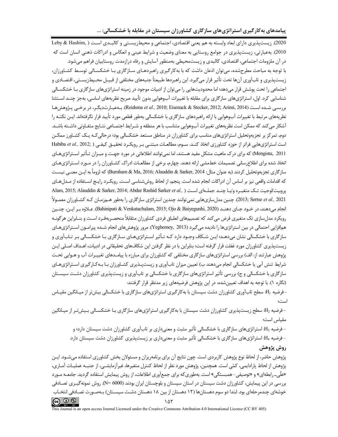2020). زيستپذيري داراي ابعاد وابسته به هم يعني اقتصادي، اجتماعي و محيطزيسـتي و كالبـدي اسـت ( Leby & Hashim, 2010). بهعبارتي، زيستپذيري در جوامع روستايي به معناي وضعيت و شرايط عيني و انعكاس و ادراكات ذهني انسان است كه در آن ملزومات اجتماعی، اقتصادی، کالبدی و زیست،محیطی بهمنظور آسایش و رفاه درازمدت روستاییان فراهم می شود. با توجه به مباحث مطرحشده، می توان اذعان داشت که با بهکار گیری راهبردهـای سـازگاری بـا خشکسـالی توسـط کشـاورزان، زيستپذيري و تابآوري آنها تحت تأثير قرار ميگيرد. اين راهبردها طبيعتاً جنبههاي مختلفي از قبيـل محـيطزيسـتي، اقتصـادي و اجتماعی را تحت پوشش قرار میدهد؛ اما محدودیتهایی را می توان از ادبیات موجود در زمینه استراتژیهای سازگاری بـا خشكسـالی شناسایی کرد. اول، استراتژیهای سازگاری برای مقابله با تغییرات آبوهوایی بدون تأیید صریح نظریههای اساسی، بهجز چنـد اسـتثنا بررسي شده است (Reidsma et al., 2010; Eisenack & Stecker, 2012; Arimi, 2014). بـهعبـارتديگـر، در برخـي پـژوهشهـا نظریههای مرتبط با تغییرات آبوهوایی با ارائه راهبردهای سازگاری با خشکسالی بهطور قطعی مورد تأیید قرار نگرفتهاند. ایــن نکتــه را آشکار می کند که ممکن است نظریههای تغییرات آبوهوایی متناسب با هر منطقه و شـرایط اجتمـاعی نتـایج متفـاوتی داشـته باشـد. دوم، تمرکز بر تجزیهوتحلیل استراتژیهای مناسب برای کشاورزان در مناطق مستعد خشکسالی بود؛ درحالی کـه یـک کشـاورز ممکـن است استراتژی هایی فراتر از حوزه کشاورزی اتخاذ کنـد. سـوم، مطالعـات مبتنـی بـر رویکـرد تحقیـق کیفـی ( ;Habiba et al., 2012 Mengistu, 2011) که برای درک ماهیت مشکل مفید هستند، اما نمی توانند اطلاعاتی در مورد جهـت و میـزان تـأثیر اسـتراتژیهـای اتخاذ شده برای اطلاع رسانی تصمیمات خطمشی ارائه دهند. چهارم، برخی از مطالعـات ادراک کشـاورزان را در مـورد اسـتراتژیهـای سازگاري تجزيهوتحليل كردند (به عنوان مثال: Burnham & Ma, 2016; Alauddin & Sarker, 2014) كه لزوماً به ايـن معنـي نيسـت كه اقدامات واقعي نيز بر اساس آن ادراكات انجام شده است. پنجم، از لحاظ روششناسي است. رويكـرد رايـج اسـتفاده از مـدلهـاي Alam, 2015; Alauddin & Sarker, 2014; Abdur Rashid Sarker et al., ) يروبيت/لوجيت تك متغيره و/يـا چنـد جملـهاي اسـت 2021 ,2021). چنین مدلسازي هايي نمي توانند چندين استراتژي سازگاري را بهطور هـمزمـان كـه كشـاورزان معمـولاً انجام میدهند، در خـود جـای دهنـد (Bahinipati & Venkatachalam, 2015; Ojo & Baiyegunhi, 2020). عـلاوه بـر ايـن، چنــين رویکرد مدلسازی تک متغیری فرض میکند که تصمیمهای انطباق فردی کشاورزان متقابلاً منحصـربهفـرد اسـت و بنــابراین هرگونــه همافزایی احتمالی در بین استراتژیها را نادیده میگیرد (Yegbemey, 2013). مرور پژوهشهای انجام شـده پیرامـون اسـتراتژیهـای سازگاری با خشکسالی نشان میدهـد؛ ایـن شـکاف وجـود دارد کـه تـأثیر اسـتراتژیهـای سـازگاری بـا خشکسـالی بـر تـابآوری و زیستپذیری کشاورزان مورد غفلت قرار گرفته است؛ بنابراین با در نظر گرفتن این شکافهای تحقیقاتی در ادبیات، اهـداف اصـلی ایـن پژوهش عبارتند از: الف) بررسی استراتژیهای سازگاری مختلفی که کشاورزان برای مبارزه با پیامـدهای تغییـرات آب و هـوایی تحـت شرایط تنش آبی یا خشکسالی انجام می۵هند ب) تعیین میزان تابآوری و زیستپـذیری کشـاورزان بـا بـهکـارگیری اسـتراتژیهـای سازگاری با خشکسالی و ج) بررسی تأثیر استراتژیهای سازگاری با خشکسالی بر تابآوری و زیستپذیری کشاورزان دشـت سیسـتان (نگاره ۱). با توجه به اهداف تعیینشده، در این پژوهش فرضیههای زیر مدنظر قرار گرفتند:

- فرضیه H1: سطح تابآوری کشاورزان دشت سیستان با بهکارگیری استراتژیهای سازگاری با خشکسالی بیش تر از میـانگین مقیـاس است؛

- فرضیه H2: سطح زیستپذیری کشاورزان دشت سیستان با بهکارگیری استراتژیهای سازگاری بـا خشکسـالی بـیشتـر از میـانگین مقياس است؛

- فرضیه H3: استراتژیهای سازگاری با خشکسالی تأثیر مثبت و معنیداری بر تابآوری کشاورزان دشت سیستان دارد؛ و - فرضیه H4: استراتژیهای سازگاری با خشکسالی تأثیر مثبت و معنیداری بر زیستپذیری کشاورزان دشت سیستان دارد. روش پژوهش

پژوهش حاضر، از لحاظ نوع پژوهش کاربردی است. چون نتایج آن برای برنامهریزان و مسئولان بخش کشاورزی استفاده میشـود. ایـن پژوهش از لحاظ پارادايمي، كمّي است. همچنين، پژوهش مورد نظر از لحاظ كنترل متغيرها، غيرآزمايشــي، از جنبــه عمليـات آمـاري، «علّی\_ رابطهای» و «توصیفی- همبستگی» است. بهطوری که برای جمعآوری اطلاعات، از روش پیمایش استفاده گردید. جامعـه مـورد بررسی در این پیمایش، کشاورزان دشت سیستان در استان سیستان و بلوچستان ایران بودند (6000 N=). روش نمونهگیـری تصـادفی خوشهای چندمرحلهای بود. ابتدا دو سوم دهستانها (۱۲ دهستان از بین ۱۸ دهستان دشـت سیسـتان) بـهصـورت تصـادفی انتخـاب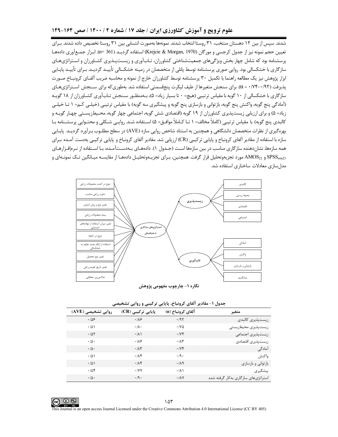#### علوم ترویج و آموزش کشاورزی ایران / جلد ۱۷ / شماره ۲ / ۱۴۰۰ / صص ۱۶۴-۱۴۹

.<br>شدند. سپس از بین ۱۲ دهستان منتخب، ۳۱ روستا انتخاب شدند. نمونهها بهصورت انتسابی بین ۳۱ روستا تخصیص داده شدند. بـرای تعیین حجم نمونه نیز از جدول کرجسی و مورگان (Krejcie & Morgan, 1970) استفاده گردیـد (361 =n). ابـزار جمـعآوری دادههـا پرسشنامه بود که شامل چهار بخش ویژگیهای جمعیتشناختی کشاورزان، تـابآوری و زیسـتپـذیری کشـاورزان و اسـتراتژیهـای سازگاری با خشکسالی بود. روایی صوری پرسشنامه توسط پانلی از متخصصان در زمینه خشکسالی تأییـد گردیـد. بـرای تأییـد پایـایی ابزار پژوهش نیز یک مطالعه راهنما با تکمیل ۳۰ پرسشنامه توسط کشاورزان خارج از نمونه و محاسبه ضریب آلفـای کرونبــاخ صـورت پذیرفت (۹۲/۰-۷۴/۰ α). برای سنجش متغیرها از طیف لیکرت پنجقسمتی استفاده شد. بهطوری که برای سـنجش اسـتراتژیهـای سازگاری با خشکسالی از ۱۰ گویه با مقیاس ترتیبی (هیچ= ۰ تا بسیار زیاد= ۵)، بـهمنظـور سـنجش تـابآوری کشـاورزان از ۱۸ گویـه (آمادگی پنج گویه، واکنش پنج گویه، بازتوانی و بازسازی پنج گویه و پیشگیری سه گویه) با مقیاس ترتیبی (خیلـی کـم= ۱ تـا خیلـی زیاد= ۵) و برای ارزیابی زیستپذیری کشاورزان از ۱۹ گویه (اقتصادی شش گویه، اجتماعی چهار گویه، محـیطزیسـتی چهـار گویـه و كالبدى پنج گويه) با مقياس ترتيبي (كاملاً مخالف= ١ تــا كــاملاً موافــق= ۵) اســتفاده شــد. روايــي شـكلي و محتــوايي پرسشــنامه بــا بهرهگیری از نظرات متخصصان دانشگاهی و همچنین به استناد شاخص روایی سازه (AVE) در سطح مطلـوب بـرآورد گردیــد. پایـایی سازه با استفاده از مقادیر آلفای کرونباخ و پایایی ترکیبی (CR) ارزیابی شد. مقادیر آلفای کرونباخ و پایایی ترکیبی بهدست آمـده بـرای همه سازهها، نشاندهنده سازگاری مناسب در بین سازهها است (جـدول ۱). دادههـای بـهدسـتآمـده، بـا اسـتفاده از نـرمافـزارهـای SPSS<sub>win23</sub> و AMOS<sub>22</sub> مورد تجزیهوتحلیل قرار گرفت. همچنین، بـرای تجزیــهوتحلیــل دادههــا از مقایســه میــانگین تــک نمونــهای و مدل سازی معادلات ساختاری استفاده شد.



نگاره ۱- چارچوب مفهومی پژوهش

| جدول ۱- مقادیر آلفای کرونباخ، پایایی ترکیبی و روایی تشخیصی |  |  |  |  |  |  |
|------------------------------------------------------------|--|--|--|--|--|--|
|------------------------------------------------------------|--|--|--|--|--|--|

| روایی تشخیصی (AVE) | پایایی ترکیبی (CR) | آلفای کرونباخ (a)   | متغير                               |
|--------------------|--------------------|---------------------|-------------------------------------|
| .109               | .18                | .195                | زيستپذيرى كالبدى                    |
| .701               | $\cdot/\lambda$ .  | $\cdot$ /Y $\Delta$ | زيستپذيري محيطزيستي                 |
| .705               | $\cdot/\lambda$    | .1Yf                | زيستپذيري اجتماعي                   |
| $\cdot/\Delta$ .   | .18                | .11                 | زیستیذیری اقتصادی                   |
| $\cdot/\Delta$ .   | .71                | .1Yf                | آمادگے <sub>،</sub>                 |
| .701               | .11                | $\cdot$ /9 $\cdot$  | واكنش                               |
| .701               | $4/\lambda$        | .119                | بازتواني و بازسازي                  |
| .708               | $\cdot$ /VV        | $\cdot/\lambda$     | پیشگیری                             |
| $\cdot/\Delta$ .   | $\cdot$ /9 $\cdot$ | .11V                | استراتژیهای سازگاری بهکار گرفته شده |

 $\circ$ ۱۵۳ This Journal is an open access Journal Licensed under the Creative Commons Attribution 4.0 International License (CC BY 405)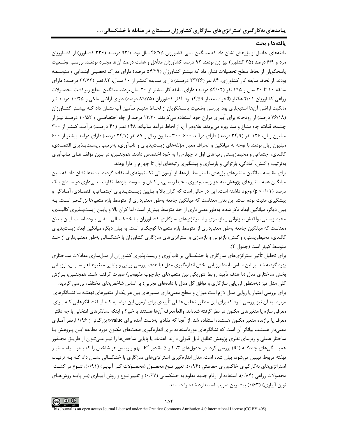#### يافتهها و بحث

یافتههای حاصل از پژوهش نشان داد که میانگین سنی کشاورزان ۴۶/۷۵ سال بود. ۹۳/۱ درصـد (۳۳۶ کشـاورز) از کشـاورزان مرد و ۶/۹ درصد (۲۵ کشاورز) نیز زن بودند. ۹۲ درصد کشاورزان متأهل و هشت درصد آنها مجـرد بودنـد. بررســی وضـعیت پاسخگویان از لحاظ سطح تحصیلات نشان داد که بیشتر کشاورزان (۵۴/۲۹ درصد) دارای مدرک تحصیلی ابتـدایی و متوسـطه بودند. از لحاظ سابقه کار کشاورزی، ۸۴ نفر (۲۳/۲۶ درصد) دارای سـابقه کمتـر از ۱۰ سـال، ۸۲ نفـر (۲۲/۷۲ درصـد) دارای سابقه ۱۰ تا ۲۰ سال و ۱۹۵ نفر (۵۴/۰۲ درصد) دارای سابقه کار بیشتر از ۲۰ سال بودند. میانگین سطح زیرکشت محصولات زراعی کشاورزان ۴/۰۱ هکتار (انحراف معیار ۴/۵۹) بود. اکثر کشاورزان (۸۹/۷۵ درصد) دارای اراضی ملکی و ۱۰/۲۵ درصد نیز مالکیت اراضی آنها استیجاری بود. بررسی وضعیت پاسـخگویان از لحـاظ منبــع تـأمین آب نشــان داد کــه بیشــتر کشــاورزان (۷۶/۱۸ درصد) از رودخانه برای آبیاری مزارع خود استفاده می کردند. ۱۳/۳۰ درصد از چاه اختصاصبی و ۱۰/۵۲ درصـد نیـز از چشمه، قنات، چاه مشاع و سد بهره میبردند. علاوهبر آن، از لحاظ درآمد سالیانه، ۱۴۸ نفـر (۴۱ درصـد) درآمـد کمتـر از ۳۰۰ میلیون ریال، ۱۲۶ نفر (۳۴/۹ درصد) دارای درآمد ۴۰۰-۳۰۰ میلیون ریال و ۸۷ نفر (۲۴/۱ درصد) دارای درآمد بیشتر از ۶۰۰ میلیون ریال بودند. با توجه به میانگین و انحراف معیار مؤلفههای زیستپذیری و تابآوری، بهترتیب زیسـتپـذیری اقتصـادی، کالبدی، اجتماعی و محیطزیستی رتبههای اول تا چهارم را به خود اختصاص دادند. همچنـین، در بـین مؤلفـههـای تـابآوری بهترتیب واکنش، آمادگی، بازتوانی و بازسازی و پیشگیری رتبههای اول تا چهارم را دارا بودند.

برای مقایسه میانگین متغیرهای پژوهش با متوسط بازهها، از آزمون تی تک نمونهای استفاده گردید. یافتهها نشان داد که بـین میانگین همه متغیرهای پژوهش، به جز زیستپذیری محیطزیستی، واکنش و متوسط بازهها، تفاوت معنیداری در سـطح یـک درصد (p <٠/٠١) وجود داشته است. این در حالی است که کران بالا و پـایین زیسـتپـذیری اجتمـاعی، اقتصـادی، آمـادگی و پیشگیری مثبت بوده است. این بدان معناست که میانگین جامعه بهطور معنیداری از متوسط بازه متغیرها بزرگتر است. بـه بیان دیگر، میانگین ابعاد ذکر شده، بهطور معنیداری از حد متوسط بیش تر است؛ اما کران بالا و پایین زیستپـذیری کالبـدی، محیطزیستی، واکنش، بازتوانی و بازسازی و استراتژیهای سازگاری کشـاورزان بـا خشکسـالی منفـی بـوده اسـت. ایـن بـدان معناست که میانگین جامعه بهطور معنیداری از متوسط بازه متغیرها کوچک تر است. به بیان دیگر، میانگین ابعاد زیستپذیری کالبدی، محیطزیستی، واکنش، بازتوانی و بازسازی و استراتژیهای سازگاری کشاورزان با خشکسالی بهطور معنـی۱داری از حـد متوسط كمتر است (جدول ٢).

برای تحلیل تأثیر استراتژیهای سازگاری با خشکسالی بر تابآوری و زیستپذیری کشاورزان از مدلسازی معادلات سـاختاری بهره گرفته شد. بر این اساس، ابتدا ارزیابی بخش اندازهگیری مدل (با هدف بررسی روایی و پایایی متغیرهـا) و سـپس، ارزیـابی بخش ساختاری مدل (با هدف تأييد روابط تئوريكي بين متغيرهای چارچوب مفهومي) صورت گرفتـه شـد. همچنـين، بـرازش کلی مدل نیز (بهمنظور ارزیابی سازگاری و توافق کل مدل با دادههای تجربی) بر اساس شاخصهای مختلف، بررسی گردید. برای بررسی اعتبار یا روایی مدل لازم است میزان و سطح معنیداری مسیرهای بین هر یک از متغیرهای نهفتـه بـا نشـانگرهای مربوط به آن نیز بررسی شود که برای این منظور تحلیل عاملی تأییدی برای آزمون این فرضـیه کـه آیـا نشـانگرهایی کـه بـرای معرفی سازه یا متغیرهای مکنون در نظر گرفته شدهاند، واقعاً معرف آنها هستند یا خیر؟ و اینکه نشانگرهای انتخابی با چه دقتی معرف یا برازنده متغیر مکنون هستند، استفاده شد. از آنجا که مقادیر بهدست آمده برای t-value بزرگ تر از ۱/۹۶ ازنظر آمـاری معنیدار هستند، بیانگر آن است که نشانگرهای مورداستفاده برای اندازهگیری صفتهای مکنون مورد مطالعه ایـن پـژوهش بـا ساختار عاملی و زیربنای نظری پژوهش تطابق قابل قبولی دارند. اعتماد یا پایایی شاخصها را نیـز مـیٍ تـوان از طریـق مجـذور همبستگی های چندگانه (R $^2$ ) بررسی کرد. در جدول های ۳، ۴ و ۵ مقادیر  $\mathsf{R}^2$  سهم واریانس هر شاخص را که بـهوسـیله متغیـر نهفته مربوط تبیین میشود، بیان شده است. مدل اندازهگیری استراتژیهای سازگاری با خشکسالی نشـان داد کـه بـه ترتیـب استراتژیهای به کارگیری خاکورزی حفاظتی (۱۹۴۰)، تغییر نـوع محصـول (محصـولات کـم آببـر) (۰/۹۱۱)، تنـوع در کشـت محصولات زراعی (۱۸۴۰)، استفاده از ارقام جدید مقاوم به خشکسالی (۱۶۷۰) و تغییر نـوع و روش آبیـاری (بـر پایـه روشهـای نوین آبیاری) (۰/۶۳) بیشترین ضریب استاندارد شده را داشتند.

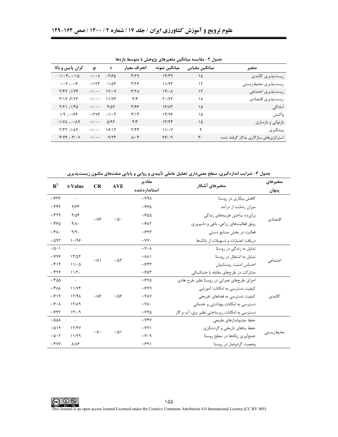| بخاون ، مسایستا میاناتین مسیر شای پروشش با متوسط بازناما |                            |                  |                            |               |               |                                     |  |  |
|----------------------------------------------------------|----------------------------|------------------|----------------------------|---------------|---------------|-------------------------------------|--|--|
| کران پایین و بالا                                        | p                          | t                | انحراف معيار               | ميانگين نمونه | ميانگين مقياس | متغير                               |  |  |
| $-1/\cdot 5 - \cdot 10$                                  | $\cdot$ / $\cdot$ $\wedge$ | $-Y$ /۶ $\Delta$ | $f/\gamma$                 | 15/79         | ۱۵            | زیستپذیری کالبدی                    |  |  |
| $\cdot$ / $\cdot$ Y $\cdot$ / $\cdot$                    | .7157                      | $-1/\Delta f$    | $\frac{9}{2}$              | 11/Y          | ۱۲            | زیستپذیری محیطزیستی                 |  |  |
| Y/YY.1/YY                                                | $\cdot$ / $\cdot$ .        | 151.4            | Y/Y                        | 15/4          | ۱۲            | زيست پذيري اجتماعي                  |  |  |
| 7/17.7/77                                                | $\cdot$ / $\cdot$ .        | 11/YT            | $f/\mathfrak{f}$           | $Y \cdot I$   | ۱۸            | زيستپذيري اقتصادي                   |  |  |
| $Y/Y$ $\Lambda$ $Y^{\alpha}$                             | $\cdot$ / $\cdot$ $\cdot$  | 9/25             | ۳۱۶۶                       | 18/15         | ١۵            | آمادگی                              |  |  |
| $1/9$ $-199$                                             | .1749                      | $-1/4$           | f/Y                        | 14/16         | ١۵            | واكنش                               |  |  |
| $-1/\gamma\lambda$ $ \gamma/\lambda$ 9                   | $\cdot$ / $\cdot$ .        | $\Delta$ /95     | $f/\tau$                   | 1777          | ١۵            | بازتوانی و بازسازی                  |  |  |
| $Y/YY$ . $1/\lambda Y$                                   | $\cdot$ / $\cdot$ .        | 18/15            | Y/FF                       | 11/2Y         | ٩             | ييشگيري                             |  |  |
| $-\frac{5}{11}$                                          | $\cdot$ / $\cdot$ .        | $-9/7f$          | $\lambda$ / $\cdot$ $\tau$ | Y51.9         | ٣٠            | استراتژیهای سازگاری بهکار گرفته شده |  |  |

جدول ۲- مقایسه میانگین متغیرهای پژوهش با متوسط بازهها

جدول ۳- ضرایب اندازهگیری، سطح معنیداری تحلیل عاملی تأییدی و روایی و پایایی صفتهای مکنون زیستپذیری

| $\mathbb{R}^2$              | t-Value             | CR                | <b>AVE</b>       | مقادير                         | متغیرهای آشکار                                | متغير هاي  |
|-----------------------------|---------------------|-------------------|------------------|--------------------------------|-----------------------------------------------|------------|
|                             |                     |                   |                  | استاندار دشده                  |                                               | پنهان      |
| .1949                       |                     |                   |                  | $\cdot$ / $\vee$ 9 $\wedge$    | کاهش بیکاری در روستا                          |            |
| .7887                       | 9/85                |                   |                  | ۱۶۶۵.                          | میزان رضایت از درآمد                          |            |
| .1579                       | 9/08                | .189              |                  | .1900                          | برآورده ساختن هزينههاى زندگى                  |            |
| .1990                       | 9/1.7               |                   | $\cdot/\Delta$ . | .19A5                          | رونق فعالیتهای زراعی، باغی و دامپروری         | اقتصادي    |
| $\cdot$ /۴ $\wedge$ .       | 9/9.                |                   |                  | .1997                          | فعالیت در بخش صنایع دستی                      |            |
| .7097                       | 1.199               |                   |                  | $\cdot$ /YY $\cdot$            | دریافت اعتبارات و تسهیلات از بانکها           |            |
| $\cdot/\Delta \cdot$        | $\equiv$            |                   |                  | $\cdot$ /Y $\cdot$ A           | تمایل به زندگی در روستا                       |            |
| .1YY9                       | 17/27               | $. / \Lambda$     | .78              | . / <sub>A</sub>               | تمایل به اشتغال در روستا                      |            |
| .799                        | 11/20               |                   |                  | .1988                          | احساس امنيت روستاييان                         | اجتماعي    |
| .1879                       | 11/T                |                   |                  | .1907                          | مشارکت در طرحهای مقابله با خشکسالی            |            |
| .1800                       | $\overline{a}$      |                   |                  | .1940                          | اجرای طرحهای عمرانی در روستا نظیر طرح هادی    |            |
| $\cdot$ /۴۸۸                | 11/Yf               |                   |                  | .1999                          | کیفیت دسترسی به امکانات آموزشی                |            |
| .1919                       | 15/9A               | .189              | .109             | $\cdot$ / $V$ $\wedge$ $V$     | کیفیت دسترسی به فضاهای تفریحی                 | كالبدى     |
| .19.1                       | 15/19               |                   |                  | $\cdot$ /Y $\wedge$ $\cdot$    | دسترسی به امکانات بهداشتی و خدماتی            |            |
| .1977                       | 15.9                |                   |                  | $\cdot$ / $\vee$ 9 $\triangle$ | دسترسی به امکانات زیرساختی نظیر برق، آب و گاز |            |
| .788A                       | $\equiv$            |                   |                  | .1YYY                          | حفظ چشماندازهای طبیعی                         |            |
| .7019                       | 15/5V               | $\cdot/\lambda$ . | .701             | .1YY                           | حفظ بناهای تاریخی و گردشگری                   |            |
| $\cdot/\Delta\cdot\Upsilon$ | 11/99               |                   |                  | .11.9                          | جمع آوری زبالهها در سطح روستا                 | محیط; پستے |
| $.$ /۴۷۷                    | $\lambda/\lambda$ ۶ |                   |                  | .1991                          | وضعیت گردوغبار در روستا                       |            |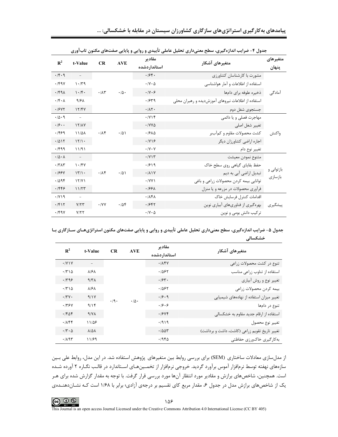|                                       | جدول ۲- ضرایب اندازه کیری، سطح معنیداری تحلیل عاملی تاییدی و روایی و پایایی صفتهای مکنون تاب[وری |                     |                  |                                   |                                                    |                    |  |
|---------------------------------------|--------------------------------------------------------------------------------------------------|---------------------|------------------|-----------------------------------|----------------------------------------------------|--------------------|--|
| $\mathbb{R}^2$                        | t-Value                                                                                          | CR                  | <b>AVE</b>       | مقادير<br>استاندار دشده           | متغيرهاي آشكار                                     | متغیر های<br>پنهان |  |
| .14.9                                 | $\equiv$                                                                                         |                     |                  | .199.                             | مشورت با کارشناسان کشاورزی                         |                    |  |
| .794                                  | $1 - T9$                                                                                         |                     |                  | $\cdot$ / $\vee$ $\cdot$ $\Delta$ | استفاده از اطلاعات و آمار هواشناسی                 |                    |  |
| .149                                  | 1.14                                                                                             | $\cdot/\lambda\tau$ | $\cdot/\Delta$ . | $\cdot$ /Y $\cdot$ $\circ$        | ذخيره علوفه براى دامها                             | آمادگی             |  |
| $\cdot$ / $\uparrow$ $\cdot$ $\wedge$ | 9/8 <sub>A</sub>                                                                                 |                     |                  | .1979                             | استفاده از اطلاعات نیروهای آموزشدیده و رهبران محلی |                    |  |
| .19YY                                 | 15/5V                                                                                            |                     |                  | .711                              | جستجوى شغل دوم                                     |                    |  |
| .10.9                                 | $\equiv$                                                                                         |                     |                  | .7YY                              | مهاجرت فصلی و یا دائمی                             |                    |  |
| .19.1                                 | 17/AY                                                                                            |                     |                  | $\cdot$ / $V$ $\Delta$            | تغيير شغل اصلي                                     |                    |  |
| .1999                                 | 11/41                                                                                            | .74                 | .701             | .1910                             | كشت محصولات مقاوم و كمأببر                         | واكنش              |  |
| .7015                                 | 15/1.                                                                                            |                     |                  | .1Y19                             | اجاره اراضي كشاورزان ديگر                          |                    |  |
| .799                                  | 11/91                                                                                            |                     |                  | $\cdot$ /Y $\cdot$ Y              | تغيير نوع دام                                      |                    |  |
| $\cdot/\Delta \cdot \Lambda$          | $\mathcal{L} = \mathcal{L}$                                                                      |                     |                  | .711                              | متنوع نمودن معيشت                                  |                    |  |
| .7717                                 | 1.14V                                                                                            |                     |                  | .1919                             | حفظ بقایای گیاهی روی سطح خاک                       | بازتوانی و         |  |
| .199Y                                 | 17/1.                                                                                            | .78                 | $\cdot$ /5)      | .711Y                             | تبدیل اراضی آبی به دیم                             | باز سازی           |  |
| .7098                                 | 15/11                                                                                            |                     |                  | $\cdot$ /YY $\prime$              | توانایی بیمه کردن محصولات زراعی و باغی             |                    |  |
| .1999                                 | 11/TT                                                                                            |                     |                  | $.199\text{A}$                    | فرآوری محصولات در مزرعه و یا منزل                  |                    |  |
| $\cdot$ / $\vee$ $\vee$ $\theta$      | $\overline{\phantom{a}}$                                                                         |                     |                  | $\cdot$ / $\lambda$ ۴ $\lambda$   | اقدامات كنترل فرسايش خاك                           |                    |  |
| .7917                                 | Y/YY                                                                                             | $\cdot$ /YY         | .708             | .1987                             | بهرهگیری از فناوریهای آبیاری نوین                  | پیشگیری            |  |
| .794                                  | Y/YY                                                                                             |                     |                  | $\cdot$ / $\vee$ $\cdot$ $\Delta$ | ترکیب دانش بومی و نوین                             |                    |  |

| جدول ۴- ضرایب اندازهگیری، سطح معنیداری تحلیل عاملی تأییدی و روایی و پایایی صفتهای مکنون تابآوری |  |  |  |  |  |
|-------------------------------------------------------------------------------------------------|--|--|--|--|--|
|-------------------------------------------------------------------------------------------------|--|--|--|--|--|

جدول ۵- ضرایب اندازهگیری، سطح معنیداری تحلیل عاملی تأییدی و روایی و پایایی صفتهای مکنون استراتژیهـای ســازگاری بـا خشکسالی

| $\mathbf{R}^2$                           | t-Value                  | <b>CR</b>                              | <b>AVE</b> | مقادير<br>استاندار دشده                       | متغيرهاي آشكار                         |
|------------------------------------------|--------------------------|----------------------------------------|------------|-----------------------------------------------|----------------------------------------|
| $\cdot$ /Y \ Y                           | $\overline{\phantom{m}}$ |                                        |            | .784                                          | تنوع در کشت محصولات زراعی              |
| .7710                                    | <b>A/SA</b>              |                                        |            | ۰۱۵۶۲                                         | استفاده از تناوب زراعى مناسب           |
| .799                                     | $4/\tau$                 |                                        |            | .194.                                         | تغيير نوع و روش أبياري                 |
| $\cdot$ /٣١۵                             | <b>A/SA</b>              | $\cdot$ /9 $\cdot$<br>$\cdot/\Delta$ . | .7887      | بيمه كردن محصولات زراعي                       |                                        |
| $\cdot$ /٣٧ $\cdot$                      | 9/1V                     |                                        | .19.9      | تغییر میزان استفاده از نهادههای شیمیایی       |                                        |
| .179Y                                    | 9/15                     |                                        | .19.9      | تنوع در دامها                                 |                                        |
| .7608                                    | $4/\gamma\lambda$        |                                        |            | .19YF                                         | استفاده از ارقام جدید مقاوم به خشکسالی |
| $\cdot$ / $\wedge$ $\uparrow$ $\uparrow$ | 11/58                    |                                        |            | .7919                                         | تغيير نوع محصول                        |
| $\cdot$ /۳ $\cdot$ $\Delta$              | $\lambda/\Delta\lambda$  |                                        | .7007      | تغییر تاریخ تقویم زراعی (کاشت، داشت و برداشت) |                                        |
| .789                                     | 11/89                    |                                        |            | ۱۹۴۵.                                         | بهكارگيري خاكورزي حفاظتي               |

از مدلسازی معادلات ساختاری (SEM) برای بررسی روابط بین متغیرهای پژوهش استفاده شد. در این مدل، روابط علی بـین سازههای نهفته توسط نرمافزار آموس برآورد گردید. خروجی نرمافزار از تخمـینهـای اسـتاندارد در قالـب نگـاره ۲ آورده شـده است. همچنین، شاخصهای برازش و مقادیر مورد انتظار آنها مورد بررسی قرار گرفت. با توجه به مقدار گزارش شده برای هـر یک از شاخصهای برازش مدل در جدول ۶، مقدار مربع کای تقسیم بر درجهی آزادی؛ برابر با ۱/۶۸ است کـه نشـاندهنـدهی



This Journal is an open access Journal Licensed under the Creative Commons Attribution 4.0 International License (CC BY 405)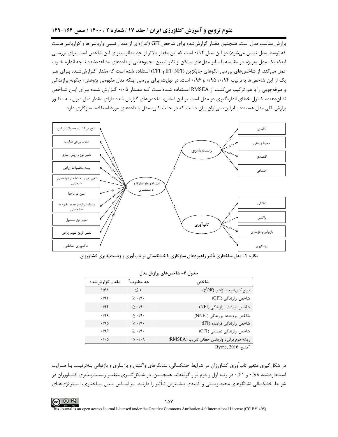#### علوم ترویج و آموزش کشاورزی ایران / جلد ۱۷ / شماره ۲ / ۱۴۰۰ / صص ۱۶۴-۱۴۹

برازش مناسب مدل است. همچنین مقدار گزارششده برای شاخص GFI (اندازهای از مقدار نسبی واریانسها و کواریانسهاست که توسط مدل تبیین میشود) در این مدل ۰/۹۲ است که این مقدار بالاتر از حد مطلوب برای این شاخص است. برای بررسی اینکه یک مدل بهویژه در مقایسه با سایر مدلهای ممکن از نظر تبیین مجموعهایی از دادههای مشاهدهشده تا چه اندازه خـوب عمل می کند، از شاخصهای بررسی الگوهای جایگزین (IFI ،NFI و CFI) استفاده شده است که مقدار گـزارششــده بـرای هـر یک از این شاخصها بهترتیب ۰/۹۴ ، ۰/۹۵ و ۰/۹۶ است. در نهایت، برای بررسی اینکه مدل مفهومی پژوهش، چگونه برازندگی و صرفهجویی را با هم ترکیب می کنـد، از RMSEA اسـتفاده شـدهاسـت کـه مقـدار ۰/۰۵ گـزارش شـده بـرای ایـن شـاخص نشاندهنده کنترل خطای اندازهگیری در مدل است. بر این اساس، شاخصهای گزارش شده دارای مقدار قابل قبول بـهمنظـور برازش کلی مدل هستند؛ بنابراین، می توان بیان داشت که در حالت کلی، مدل با دادههای مورد استفاده، سازگاری دارد.



نگاره ۲- مدل ساختاری تأثیر راهبردهای سازگاری با خشکسالی بر تابآوری و زیستپذیری کشاورزان

| بخون / ساختن برازش سان |                                   |                                            |  |  |  |  |  |
|------------------------|-----------------------------------|--------------------------------------------|--|--|--|--|--|
| مقدار گزارششده         | حد مطلوب ٰ                        | شاخص                                       |  |  |  |  |  |
| ۱/۶۸                   | $\leq \tau$                       | $(\chi^2/df)$ مربع کای/درجه آزادی          |  |  |  |  |  |
| $\cdot$ /9٢            | $\geq$ $\cdot$ /9 $\cdot$         | شاخص برازندگی (GFI)                        |  |  |  |  |  |
| .795                   | $\geq$ $\cdot$ /9.                | شاخص نرمشده برازندگی (NFI)                 |  |  |  |  |  |
| .499                   | $\geq$ $\cdot$ /9 $\cdot$         | شاخص نرمنشده برازندگی (NNFI)               |  |  |  |  |  |
| .40                    | $\geq$ $\cdot$ /9.                | شاخص برازندگی فزاینده (IFI)                |  |  |  |  |  |
| ۰/۹۶                   | $\geq$ $\cdot$ /9 $\cdot$         | شاخص برازندگی تطبیقی (CFI)                 |  |  |  |  |  |
| $\cdot/\cdot \Delta$   | $\leq$ $\cdot$ / $\cdot$ $\wedge$ | ريشه دوم برأورد واريانس خطاي تقريب (RMSEA) |  |  |  |  |  |
|                        |                                   | $D_{Vrm} \approx 2016 \times 10^{-8}$      |  |  |  |  |  |

|  | جدول ۶– شاخص های برازش مدل |  |
|--|----------------------------|--|

منبع: Byrne, 2016

در شکل گیری متغیر تابآوری کشاورزان در شرایط خشکسالی، نشانگرهای واکنش و بازسازی و بازتوانی بـهترتیـب بـا ضـرایب استانداردشده ۰/۸۸ و ۰/۶۱ در رتبه اول و دوم قرار گرفتهاند. همچنـین، در شـکلگیـری متغیـر زیسـتپـذیری کشـاورزان در شرایط خشکسالی نشانگرهای محیطزیستی و کالبدی بیشـترین تـأثیر را دارنـد. بـر اسـاس مـدل سـاختاری، اسـتراتژیهـای

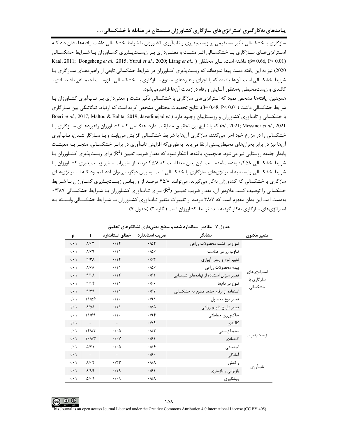پیامدهای بهکارگیری استراتژیهای سازگاری کشاورزان سیستان در مقابله با خشکسالی: …

.<br>سازگاری با خشکسالی تأثیر مستقیمی بر زیستپذیری و تابآوری کشاورزان با شرایط خشکسالی داشت. یافتهها نشان داد کـه استراتژیههای سـازگاری بـا خشکسـالی اثـر مثبـت و معنـی۱داری بـر زیسـتپـذیری کشـاورزان بـا شـرایط خشکسـالی Kaal, 2011; Dongsheng et al., 2015; Yurui et al., 2020; Liang et al., ) داشته است. سایر محققان (β= 0.66, P< 0.01) 2020) نیز به این یافته دست پیدا نمودهاند که زیستپذیری کشاورزان در شرایط خشکسالی تابعی از راهبردهـای سـازگاری بـا شرایط خشکسالی است. آنها یافتند که با اجرای راهبردهای متنوع سـازگاری بـا خشکسـالی ملزومـات اجتمـاعی، اقتصـادی، کالبدی و زیستمحیطی بهمنظور آسایش و رفاه درازمدت آنها فراهم می شود.

همچنین، یافتهها مشخص نمود که استراتژیهای سازگاری با خشکسالی تأثیر مثبت و معنیداری بـر تـابآوری کشـاورزان بـا شرایط خشکسالی داشت (0.01 ×9= θ= 0.48, P). نتایج تحقیقات مختلفی مشخص کرده است که ارتباط تنگاتنگی بین سـازگاری Boeri et al., 2017; Maltou & Bahta, 2019; Javadinejad et ) با خشكسالي و تاب آوري كشاورزان و روستاييان وجـود دارد ( Boeri et al., 2017; Maltou & Bahta, 2019; Javadinejad et al., 2021; Messmer et al., 2021) که با نتایج این تحقیــق مطابقـت دارد. هنگــامی کـه کشــاورزان راهبردهـای ســازگاری بـا خشکسالی را در مزارع خود اجرا می کنند، سازگاری آنها با شرایط خشکسالی افزایش می پابـد و بـا سـازگار شـدن، تـابآوری آنها نیز در برابر بحرانهای محیطزیستی ارتقا می بابد. بهطوری که افزایش تابآوری در برابـر خشکسـالی، منجـر بـه معیشـت پایدار جامعه روستایی نیز می شود. همچنین، یافتهها آشکار نمود که مقدار ضریب تعیین (R<sup>2</sup>) برای زیستپذیری کشـاورزان بـا شرایط خشکسالی ۴۵۸/۰ بهدستآمده است. این بدان معنا است که ۴۵/۸ درصد از تغییرات متغیر زیستیذیری کشـاورزان بـا شرایط خشکسالی وابسته به استراتژیهای سازگاری با خشکسالی است. به بیان دیگر، میتوان ادعـا نمـود کـه اسـتراتژیهـای سازگاری با خشکسالی که کشاورزان بهکار میگیرند، میتوانند ۴۵/۸ درصد از واریـانس زیسـتپـذیری کشـاورزان بـا شـرایط خشکسالی را توصیف کنند. علاوهبر آن، مقدار ضریب تعیـین (R<sup>2</sup>) بـرای تـابآوری کشـاورزان بـا شـرایط خشکسـالی ۱۳۸۷۰ بهدست آمد. این بدان مفهوم است که ۳۸/۷ درصد از تغییرات متغیر تـابآوری کشـاورزان بـا شـرایط خشکسـالی وابسـته بـه استراتژیهای سازگاری بهکار گرفته شده توسط کشاورزان است (نگاره ۲) (جدول ۷).

| p                   | t                          | خطاي استاندارد             | ضریب استاندارد            | نشانگر                                  | متغير مكنون               |
|---------------------|----------------------------|----------------------------|---------------------------|-----------------------------------------|---------------------------|
| $\cdot/\cdot$       | $\lambda$ /۶۲              | .715                       | .708                      | تنوع در کشت محصولات زراعی               |                           |
| $\cdot/\cdot$ \     | $\lambda$ /۶۹              | $\cdot/1$                  | .109                      | تناوب زراعى مناسب                       |                           |
| $\cdot/\cdot$       | 9/T <sub>A</sub>           | .117                       | .75                       | تغییر نوع و روش أبیاري                  |                           |
| $\cdot/\cdot$       | $\lambda$ /۶ $\lambda$     | $\cdot/1$                  | $\cdot$ /08               | بيمه محصولات زراعي                      |                           |
| $\cdot/\cdot$       | 9/1A                       | .115                       | .99                       | تغییر میزان استفاده از نهادههای شیمیایی | استراتژىهاى<br>سازگاری با |
| $\cdot$   $\cdot$   | 9/15                       | $\cdot/1$                  | .19.                      | تنوع در دامها                           |                           |
| $\cdot/\cdot$ )     | 9/19                       | $\cdot/11$                 | .19Y                      | استفاده از ارقام جدید مقاوم به خشکسالی  | خشکسالی                   |
| $\cdot$ / $\cdot$ ) | 11/08                      | $\cdot/\rangle$ .          | $\cdot$ /9)               | تغيير نوع محصول                         |                           |
| $\cdot$ / $\cdot$ ) | $\lambda/\Delta\lambda$    | $\cdot/1$                  | .780                      | تغيير تاريخ تقويم زراعي                 |                           |
| $\cdot/\cdot$       | 11/89                      | $\cdot/\rangle$ .          | .795                      | خاكورزي حفاظتي                          |                           |
| $\cdot$ / $\cdot$ ) | $\overline{\phantom{a}}$   |                            | .149                      | كالبدى                                  |                           |
| $\cdot$ / $\cdot$ ) | 15/17                      | $\cdot$ / $\cdot$ $\Delta$ | .71                       | محيطزيستى                               |                           |
| $\cdot$ / $\cdot$ ) | 1.105                      | $\cdot$ / $\cdot$ $\vee$   | .99                       | اقتصادى                                 | ز پست پذیر ی              |
| $\cdot$   $\cdot$   | $\Delta$ /۴)               | $\cdot$ / $\cdot$ $\Delta$ | .109                      | اجتماعى                                 |                           |
| $\cdot$ / $\cdot$ ) | $\sim$                     |                            | .19.                      | آمادگے                                  |                           |
| $\cdot$ / $\cdot$ ) | $\lambda$ / $\cdot$ $\tau$ | .77                        | $\cdot/\lambda\lambda$    | واكنش                                   |                           |
| $\cdot$ / $\cdot$ \ | 9/99                       | .49                        | .99                       | باز توانی و بازسازی                     | تابآوري                   |
| $\cdot$   $\cdot$   | $\Delta/\cdot$ 9           | .4.9                       | $\cdot$ / $\Delta\lambda$ | پیشگیری                                 |                           |

جدول ۷- مقادیر استاندارد شده و سطح معنیداری نشانگرهای تحقیق

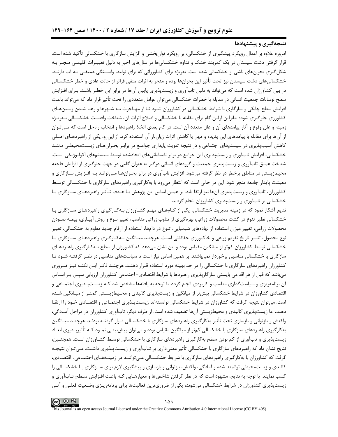### نتیجهگیری و پیشنهادها

امروزه علاوه بر اعمال رویکرد پیشگیری از خشکسالی، بر رویکرد توانبخشی و افزایش سازگاری با خشکسالی تأکید شده است. قرار گرفتن دشت سیستان در یک کمربند خشک و تداوم خشکسالیها در سالهای اخیر به دلیل تغییـرات اقلیمـی منجـر بـه شکل گیری بحرانهای ناشی از خشکسالی شده است، بهویژه برای کشاورزانی که برای تولید، وابسـتگی عمیقـی بـه آب دارنـد. خشکسالی های دشت سیستان نیز تحت تأثیر این بحرانها بوده و منجر به اثرات منفی فراتر از حالت عادی و خطر خشکسـالی در بین کشاورزان شده است که میتواند به دلیل تابآوری و زیستپذیری پایین آنها در برابر این خطـر باشـد. بـرای افـزایش سطح نوسانات جمعیت انسانی در مقابله با خطرات خشکسالی می توان عوامل متعددی را تحت تأثیر قرار داد که می تواند باعث افزایش سطح چابکی و سازگاری با شرایط خشکسالی در کشاورزان شـود تـا از مهـاجرت بـه شـهرها و رهـا شـدن زمـینهـای کشاورزی جلوگیری شود؛ بنابراین اولین گام برای مقابله با خشکسالی و اصلاح اثرات آن، شناخت واقعیت خشکســالی بــهویــژه زمینه و علل وقوع و آثار پیامدهای آن و علل متعدد آن است. در گام بعدی اتخاذ راهبردها و انتخاب راهحل است که مـیتـوان از آنها برای مقابله با پیامدهای این پدیده و مهار یا کاهش اثرات زیانبار آن استفاده کرد. از اینرو، یکی از راهبردهـای اصـلی کاهش آسیبپذیری در سیستمهای اجتماعی و در نتیجه تقویت پایداری جوامـع در برابـر بحـرانهـای زیسـتمحیطـی ماننـد خشکسالی، افزایش تابآوری و زیستپذیری این جوامع در برابر نابسامانیهای ایجادشده توسط سیستمهای اکولـوژیکی اسـت. شناخت عمیق تابآوری و زیستپذیری جمعیت و گروههای انسانی درگیر به عنوان گامی در جهت جلوگیری از افزایش فاجعه محیطزیستی در مناطق پرخطر در نظر گرفته می شود. افزایش تابآوری در برابر بحـرانهـا مـی توانـد بـه افـزایش سـازگاری و معیشت پایدار جامعه منجر شود. این در حالی است که انتظار میرود با بهکارگیری راهبردهای سازگاری با خشکسـالی توسـط کشاورزان، تابآوری و زیستپذیری آنها نیز ارتقا یابد. بر همین اساس این پژوهش بـا هـدف تـأثیر راهبردهـای سـازگاری بـا خشکسالی بر تابآوری و زیستپذیری کشاورزان انجام گردید.

نتایج آشکار نمود که در زمینه مدیریت خشکسالی، یکی از گــامهــای مهـم کشــاورزان بــهکـارگیری راهبردهـای ســازگاری بــا خشکسالی نظیر تنوع در کشت محصولات زراعی، بهرهگیری از تناوب زراعی مناسب، تغییر نـوع و روش آبیـاری، بیمـه نمـودن محصولات زراعی، تغییر میزان استفاده از نهادههای شیمیایی، تنوع در دامها، استفاده از ارقام جدید مقاوم به خشکسالی، تغییر نوع محصول، تغییر تاریخ تقویم زراعی و خاکورزی حفاظتی است. هرچنـد میـانگین بـهکـارگیری راهبردهـای سـازگاری بـا خشکسالی توسط کشاورزان کمتر از میانگین مقیاس بوده و این نشان می۵هد که کشاورزان از سطح بـهکـارگیری راهبردهـای سازگاری با خشکسالی مناسبی برخوردار نمی باشند. بر همین اساس نیاز است تا سیاستهای مناسبی در نظـر گرفتـه شـود تـا کشاورزان راهبردهای سازگاری با خشکسالی را در حد بهینه مورد استفاده قـرار دهنـد. هرچنـد ذکـر ایـن نکتـه نیـز ضـروری میباشد که قبل از هر اقدامی بایستی سازگاریذیری راهبردها با شرایط اقتصادی– اجتماعی کشاورزان ارزیابی سیس بـر اسـاس آن برنامهریزی و سیاستگذاری مناسب و کاربردی انجام گردد. با توجه به یافتهها مشخص شد کـه زیسـتپـذیری اجتمـاعی و اقتصادی کشاورزان در شرایط خشکسالی بیش تر از میانگین و زیستپذیری کالبدی و محـیطزیسـتی کمتـر از میـانگین شـده است. می توان نتیجه گرفت که کشاورزان در شرایط خشکسالی توانستهاند زیسـتپـذیری اجتمـاعی و اقتصـادی خـود را ارتقـا دهند، اما زیستپذیری کالبدی و محیطزیستی آنها تضعیف شده است. از طرف دیگر، تابآوری کشاورزان در مراحل آمـادگی، واکنش و بازتوانی و بازسازی تحت تأثیر بهکارگیری راهبردهای سازگاری با خشکسـالی قـرار گرفتـه بودنـد. هرچنـد ميـانگين بهکارگیری راهبردهای سازگاری با خشکسالی کمتر از میانگین مقیاس بوده و می;توان پیش بینـی نمـود کـه تأثیرپـذیری ابعـاد زیستپذیری و تابآوری از کم بودن سطح بهکارگیری راهبردهای سازگاری با خشکسالی توسـط کشـاورزان اسـت. همچنـین، نتایج نشان داد که راهبردهای سازگاری با خشکسالی تأثیر معنیداری بر تـابآوری و زیسـتپـذیری داشـت. مـیتـوان نتیجـه گرفت که کشاورزان با بهکارگیری راهبردهای سازگاری با شرایط خشکسـالی مـی تواننـد در زمینـههـای اجتمـاعی، اقتصـادی، کالبدی و زیستمحیطی توانمند شده و آمادگی، واکنش، بازتوانی و بازسازی و پیشگیری لازم برای سـازگاری بـا خشکسـالی را کسب نمایند. با توجه به نتایج، مشهود است که در نظر گرفتن شاخصها و معیارهـایی کـه باعـث افـزایش سـطح تـابآوری و زیستپذیری کشاورزان در شرایط خشکسالی میشوند، یکی از ضروریترین فعالیتها برای برنامهریـزی وضـعیت فعلـی و آتـی

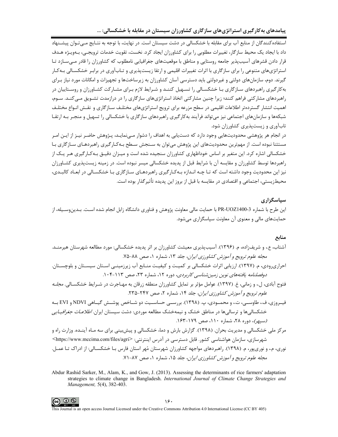پیامدهای بهکارگیری استراتژیهای سازگاری کشاورزان سیستان در مقابله با خشکسالی: ...

استفاده کنندگان از منابع آب برای مقابله با خشکسالی در دشت سیستان است. در نهایت، با توجه به نتـایج مـی تـوان پیشـنهاد داد با ایجاد یک محیط سازگار، تغییرات مطلوبی را برای کشاورزان ایجاد کرد. نخست، تقویت خدمات ترویجـی، بـهویـژه هـدف قرار دادن قشرهای آسیبپذیر جامعه روستایی و مناطق با موقعیتهای جغرافیایی نامطلوب که کشاورزان را قادر مے سـازد تـا استراتژیهای متنوعی را برای سازگاری با اثرات تغییرات اقلیمی و ارتقا زیستپذیری و تـابآوری در برابـر خشکسـالی بـهکـار گیرند. دوم، سازمانهای دولتی و غیردولتی باید دسترسی آسان کشاورزان به زیرساختها و تجهیزات و امکانات مورد نیاز بـرای به کارگیری راهبردهای سـازگاری بـا خشکسـالی را تسـهیل کننـد و شـرایط لازم بـرای مشـارکت کشـاورزان و روسـتاییان در راهبردهای مشارکتی فراهم کنند؛ زیرا چنین مشارکتی اتخاذ استراتژیهای سازگاری را در درازمدت تشـویق مـی کنـد. سـوم، اهمیت انتشار گستردهتر اطلاعات اقلیمی در سطح مزرعه برای ترویج استراتژیهای مختلـف سـازگاری و نقـش انـواع مختلـف شبکهها و سازمانهای اجتماعی نیز می تواند فرآیند بهکارگیری راهبردهای سازگاری با خشکسالی را تسهیل و منجـر بـه ارتقـا تابآوری و زیستپذیری کشاورزان شود.

در انجام هر پژوهشی محدودیتهایی وجود دارد که دستیابی به اهداف را دشوار مے،نمایـد، پـژوهش حاضـر نیـز از ایـن امـر مستثنا نبوده است. از مهمترین محدودیتهای این پژوهش میتوان به سـنجش سـطح بـهکـارگیری راهبردهـای سـازگاری بـا خشکسالی اشاره کرد. این متغیر بر اساس خوداظهاری کشاورزان سنجیده شده است و میـزان دقیـق بـهکـارگیری هـر یـک از راهبردها توسط کشاورزان و مقایسه آن با شرایط قبل از پدیده خشکسالی میسر نبوده است. در زمینه زیستپذیری کشـاورزان نیز این محدودیت وجود داشته است که تـا چـه انـدازه بـهکـارگیری راهبردهـای سـازگاری بـا خشکسـالی در ابعـاد کالبـدی، محیطزیستی، اجتماعی و اقتصادی در مقایسه با قبل از بروز این پدیده تأثیر گذار بوده است.

### سیاسگزاری

این طرح با شماره 3-PR-UOZ1400 با حمایت مالی معاونت پژوهش و فناوری دانشگاه زابل انجام شده اسـت. بـدینوسـیله، از حمایتهای مالی و معنوی آن معاونت سیاسگزاری می شود.

#### منابع

- آشتاب، ع.، و شریف;اده، م. (۱۳۹۶). آسیبپذیری معیشت کشاورزان بر اثر پدیده خشکسالی: مورد مطالعه شهرستان هیرمنـد. مجله علوم ترويج و آموزش كشاورزي ايران، جلد ١٣، شماره ١، صص ٨٨-٧٥.
- احراریرودی، م. (۱۳۹۷). ارزیابی اثرات خشکسالی بر کمیت و کیفیت منـابع آب زیرزمینـی اسـتان سیسـتان و بلوچسـتان. دوفصلنامه یافتههای نوین زمین شناسی کاربردی، دوره ۱۲، شماره ۲۳، صص ۱۱۳-۱۰۴.
- فتوح آبادی، ل.، و زمانی، غ. (۱۳۹۷). عوامل مؤثر بر تمایل کشاورزان منطقه زرقان به مهـاجرت در شـرایط خشکســالی. *مجلـه* علوم ترویج و آموزش کشاورزی ایران، جلد ۱۴، شماره ۲، صص ۲۴۷-۲۳۵.
- فیــروزی، ف.، طاوســی، ت.، و محمــودی، پ. (۱۳۹۸). بررســی حساســیت دو شــاخص پوشــش گیــاهی NDVI و EVI بــه خشکسالیها و ترسالیها در مناطق خشک و نیمهخشک مطالعه موردی: دشت سیستان ایران. *اطلاعـات جغرافیـایی* (سپهر)، دوره ۲۸، شماره ۱۱۰، صص ۱۷۹-۱۶۳.
- مرکز ملی خشکسالی و مدیریت بحران. (۱۳۹۸). گزارش بارش و دما، خشکسالی و پیش بینی برای سه مـاه آینـده. وزارت راه و شهرسازی، سازمان هواشناسی کشور. قابل دسترسی در آدرس اینترنتی: <https://www.mccima.com/files/agri> نوري، م.، و نوريپور، م. (١٣٩٨). راهبردهاي مواجهه كشاورزان شهرستان مُهر استان فارس بـا خشكسـالي: از ادراک تـا عمـل. م*جله علوم ترویج و آموزش کشاورزی ایران*، جلد ۱۵، شماره ۱، صص ۸۷-۷۱.
- Abdur Rashid Sarker, M., Alam, K., and Gow, J. (2013). Assessing the determinants of rice farmers' adaptation strategies to climate change in Bangladesh. International Journal of Climate Change Strategies and Management, 5(4), 382-403.

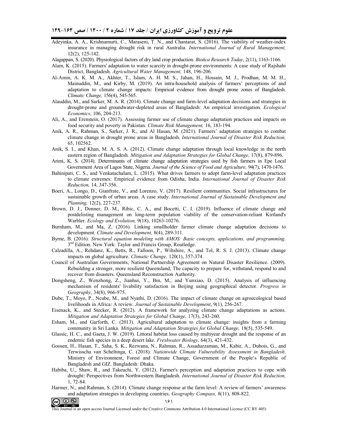- Adeyinka, A. A., Krishnamurti, C., Maraseni, T. N., and Chantarat, S. (2016). The viability of weather-index insurance in managing drought risk in rural Australia. *International Journal of Rural Management,*  12(2), 125-142.
- Alagappan, S. (2020). Physiological factors of dry land crop production. *Biotica Research Today*, 2(11), 1163-1166.
- Alam, K. (2015). Farmers' adaptation to water scarcity in drought-prone environments: A case study of Rajshahi District, Bangladesh. *Agricultural Water Management,* 148, 196-206.
- Al-Amin, A. K. M. A., Akhter, T., Islam, A. H. M. S., Jahan, H., Hossain, M. J., Prodhan, M. M. H., Mainuddin, M., and Kirby, M. (2019). An intra-household analysis of farmers' perceptions of and adaptation to climate change impacts: Empirical evidence from drought prone zones of Bangladesh. *Climatic Change,* 156(4), 545-565.
- Alauddin, M., and Sarker, M. A. R. (2014). Climate change and farm-level adaptation decisions and strategies in drought-prone and groundwater-depleted areas of Bangladesh: An empirical investigation. *Ecological Economics,* 106, 204-213.
- Ali, A., and Erenstein, O. (2017). Assessing farmer use of climate change adaptation practices and impacts on food security and poverty in Pakistan. *Climate Risk Management,* 16, 183-194.
- Anik, A. R., Rahman, S., Sarker, J. R., and Al Hasan, M. (2021). Farmers' adaptation strategies to combat climate change in drought prone areas in Bangladesh. *International Journal of Disaster Risk Reduction,*  65, 102562.
- Anik, S. I., and Khan, M. A. S. A. (2012). Climate change adaptation through local knowledge in the north eastern region of Bangladesh. *Mitigation and Adaptation Strategies for Global Change,* 17(8), 879-896.
- Arimi, K. S. (2014). Determinants of climate change adaptation strategies used by fish farmers in Epe Local Government Area of Lagos State, Nigeria. *Journal of the Science of Food and Agriculture,* 94(7), 1470-1476.
- Bahinipati, C. S., and Venkatachalam, L. (2015). What drives farmers to adopt farm-level adaptation practices to climate extremes: Empirical evidence from Odisha, India. *International Journal of Disaster Risk Reduction,* 14, 347-356.
- Boeri, A., Longo, D., Gianfrate, V., and Lorenzo, V. (2017). Resilient communities. Social infrastructures for sustainable growth of urban areas. A case study. *International Journal of Sustainable Development and Planning,* 12(2), 227-237.
- Brown, D. J., Donner, D. M., Ribic, C. A., and Bocetti, C. I. (2019). Influence of climate change and postdelisting management on long-term population viability of the conservation-reliant Kirtland's Warbler. *Ecology and Evolution,* 9(18), 10263-10276.
- Burnham, M., and Ma, Z. (2016). Linking smallholder farmer climate change adaptation decisions to development. *Climate and Development,* 8(4), 289-311.
- Byrne, B. (2016). *Structural equation modeling with AMOS: Basic concepts, applications, and programming*. 3<sup>nd</sup> Edition. New York: Taylor and Francis Group, Routledge.
- Calzadilla, A., Rehdanz, K., Betts, R., Falloon, P., Wiltshire, A., and Tol, R. S. J. (2013). Climate change impacts on global agriculture. *Climatic Change,* 120(1), 357-374.
- Council of Australian Governments, National Partnership Agreement on Natural Disaster Resilience. (2009). Rebuilding a stronger, more resilient Queensland, The capacity to prepare for, withstand, respond to and recover from disasters. Queensland Reconstruction Authority.
- Dongsheng, Z., Wenzhong, Z., Jianhui, Y., Bin, M., and Yunxiao, D. (2015). Analysis of influencing mechanism of residents' livability satisfaction in Beijing using geographical detector. *Progress in Geography,* 34(8), 966-975.
- Dube, T., Moyo, P., Ncube, M., and Nyathi, D. (2016). The impact of climate change on agroecological based livelihoods in Africa: A review. *Journal of Sustainable Development*, 9(1), 256-267.
- Eisenack, K., and Stecker, R. (2012). A framework for analyzing climate change adaptations as actions. *Mitigation and Adaptation Strategies for Global Change,* 17(3), 243-260.
- Esham, M., and Garforth, C. (2013). Agricultural adaptation to climate change: insights from a farming community in Sri Lanka. *Mitigation and Adaptation Strategies for Global Change*, 18(5), 535-549.
- Glassic, H. C., and Gaeta, J. W. (2019). Littoral habitat loss caused by multiyear drought and the response of an endemic fish species in a deep desert lake. *Freshwater Biology,* 64(3), 421-432.
- Goosen, H., Hasan, T., Saha, S. K., Rezwana, N., Rahman, R., Assaduzzaman, M., Kabir, A., Dubois, G., and Terwisscha van Scheltinga, C. (2018). *Nationwide Climate Vulnerability Assessment in Bangladesh*. Ministry of Environment, Forest and Climate Change, Government of the People's Republic of Bangladesh and GIZ. Bangladesh: Dhaka.
- Habiba, U., Shaw, R., and Takeuchi, Y. (2012). Farmer's perception and adaptation practices to cope with drought: Perspectives from Northwestern Bangladesh. *International Journal of Disaster Risk Reduction,*  1, 72-84.
- Harmer, N., and Rahman, S. (2014). Climate change response at the farm level: A review of farmers' awareness and adaptation strategies in developing countries. *Geography Compass,* 8(11), 808-822.



This Journal is an open access Journal Licensed under the Creative Commons Attribution 4.0 International License (CC BY 405)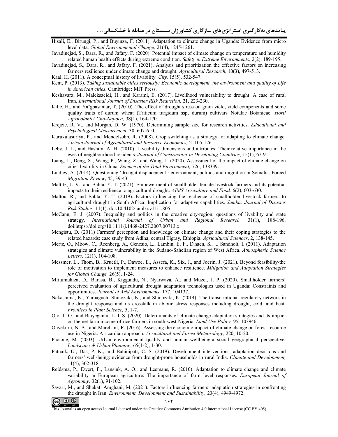- Hisali, E., Birungi, P., and Buyinza, F. (2011). Adaptation to climate change in Uganda: Evidence from micro level data. *Global Environmental Change,* 21(4), 1245-1261.
- Javadinejad, S., Dara, R., and Jafary, F. (2020). Potential impact of climate change on temperature and humidity related human health effects during extreme condition. *Safety in Extreme Environments,* 2(2), 189-195.
- Javadinejad, S., Dara, R., and Jafary, F. (2021). Analysis and prioritization the effective factors on increasing farmers resilience under climate change and drought. *Agricultural Research,* 10(3), 497-513.
- Kaal, H. (2011). A conceptual history of livability. *City,* 15(5), 532-547.
- Kent, P. (2013). *Taking sustainable cities seriously: Economic development, the environment and quality of Life in American cities*. Cambridge: MIT Press.
- Keshavarz, M., Maleksaeidi, H., and Karami, E. (2017). Livelihood vulnerability to drought: A case of rural Iran. *International Journal of Disaster Risk Reduction,* 21, 223-230.
- Kilic, H., and Ya˘gbasanlar, T. (2010). The effect of drought stress on grain yield, yield components and some quality traits of durum wheat (Triticum turgidum ssp, durum) cultivars Notulae Botanicae. *Horti Agrobotanici Cluj-Napoca*, 38(1), 164-170.
- Krejcie, R. V., and Morgan, D. W. (1970). Determining sample size for research activities. *Educational and Psychological Measurement*, 30, 607-610.
- Kurukulasuriya, P., and Mendelsohn, R. (2008). Crop switching as a strategy for adapting to climate change. *African Journal of Agricultural and Resource Economics,* 2*,* 105-126.
- Leby, J. L., and Hashim, A. H. (2010). Liveability dimensions and attributes: Their relative importance in the eyes of neighbourhood residents. *Journal of Construction in Developing Countries*, 15(1), 67-91.
- Liang, L., Deng, X., Wang, P., Wang, Z., and Wang, L. (2020). Assessment of the impact of climate change on cities livability in China. *Science of the Total Environment,* 726, 138339.
- Lindley, A. (2014). Questioning 'drought displacement': environment, politics and migration in Somalia. Forced *Migration Review*, 45, 39-43.
- Maltitz, L. V., and Bahta, Y. T. (2021). Empowerment of smallholder female livestock farmers and its potential impacts to their resilience to agricultural drought. *AIMS Agriculture and Food,* 6(2), 603-630.
- Maltou, R., and Bahta, Y. T. (2019). Factors influencing the resilience of smallholder livestock farmers to agricultural drought in South Africa: Implication for adaptive capabilities. *Jamba: Journal of Disaster Risk Studies,* 11(1). doi:10.4102/jamba.v11i1.805
- McCann, E. J. (2007). Inequality and politics in the creative city-region: questions of livability and state strategy. *International Journal of Urban and Regional Research,* 31(1), 188-196. doi:https://doi.org/10.1111/j.1468-2427.2007.00713.x
- Mengistu, D. (2011) Farmers' perception and knowledge on climate change and their coping strategies to the related hazards: case study from Adiha, central Tigray, Ethiopia. *Agricultural Sciences*, 2, 138-145.
- Mertz, O., Mbow, C., Reenberg, A., Genesio, L., Lambin, E. F., D'haen, S., ... Sandholt, I. (2011). Adaptation strategies and climate vulnerability in the Sudano-Sahelian region of West Africa. *Atmospheric Science Letters,* 12(1), 104-108.
- Messmer, L., Thom, B., Kruetli, P., Dawoe, E., Assefa, K., Six, J., and Joerin, J. (2021). Beyond feasibility-the role of motivation to implement measures to enhance resilience. *Mitigation and Adaptation Strategies for Global Change,* 26(5), 1-24.
- Mfitumukiza, D., Barasa, B., Kiggundu, N., Nyarwaya, A., and Muzei, J. P. (2020). Smallholder farmers' perceived evaluation of agricultural drought adaptation technologies used in Uganda: Constraints and opportunities. *Journal of Arid Environments,* 177, 104137.
- Nakashima, K., Yamaguchi-Shinozaki, K., and Shinozaki, K. (2014). The transcriptional regulatory network in the drought response and its crosstalk in abiotic stress responses including drought, cold, and heat. *Frontiers in Plant Science,* 5, 1-7.
- Ojo, T. O., and Baiyegunhi, L. J. S. (2020). Determinants of climate change adaptation strategies and its impact on the net farm income of rice farmers in south-west Nigeria. *Land Use Policy,* 95, 103946.
- Onyekuru, N. A., and Marchant, R. (2016). Assessing the economic impact of climate change on forest resource use in Nigeria: A ricardian approach. *Agricultural and Forest Meteorology,* 220, 10-20.
- Pacione, M. (2003). Urban environmental quality and human wellbeing-a social geographical perspective. *Landscape & Urban Planning*, 65(1-2), 1-30.
- Patnaik, U., Das, P. K., and Bahinipati, C. S. (2019). Development interventions, adaptation decisions and farmers' well-being: evidence from drought-prone households in rural India. *Climate and Development,*  11(4), 302-318.
- Reidsma, P., Ewert, F., Lansink, A. O., and Leemans, R. (2010). Adaptation to climate change and climate variability in European agriculture: The importance of farm level responses. *European Journal of Agronomy,* 32(1), 91-102.
- Savari, M., and Shokati Amghani, M. (2021). Factors influencing farmers' adaptation strategies in confronting the drought in Iran. *Environment, Development and Sustainability,* 23(4), 4949-4972.



This Journal is an open access Journal Licensed under the Creative Commons Attribution 4.0 International License (CC BY 405)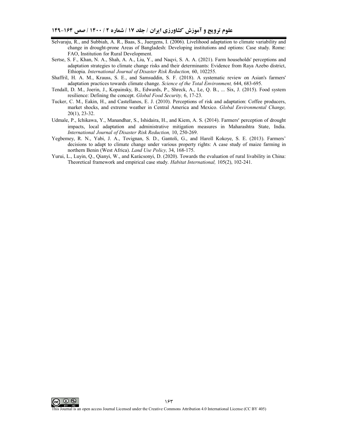- Selvaraju, R., and Subbiah, A. R., Baas, S., Juergens, I. (2006). Livelihood adaptation to climate variability and change in drought-prone Areas of Bangladesh: Developing institutions and options: Case study. Rome: FAO, Institution for Rural Development.
- Sertse, S. F., Khan, N. A., Shah, A. A., Liu, Y., and Naqvi, S. A. A. (2021). Farm households' perceptions and adaptation strategies to climate change risks and their determinants: Evidence from Raya Azebo district, Ethiopia. *International Journal of Disaster Risk Reduction,* 60, 102255.
- Shaffril, H. A. M., Krauss, S. E., and Samsuddin, S. F. (2018). A systematic review on Asian's farmers' adaptation practices towards climate change. *Science of the Total Environment,* 644, 683-695.
- Tendall, D. M., Joerin, J., Kopainsky, B., Edwards, P., Shreck, A., Le, Q. B., ... Six, J. (2015). Food system resilience: Defining the concept. *Global Food Security,* 6, 17-23.
- Tucker, C. M., Eakin, H., and Castellanos, E. J. (2010). Perceptions of risk and adaptation: Coffee producers, market shocks, and extreme weather in Central America and Mexico. *Global Environmental Change,*  20(1), 23-32.
- Udmale, P., Ichikawa, Y., Manandhar, S., Ishidaira, H., and Kiem, A. S. (2014). Farmers׳ perception of drought impacts, local adaptation and administrative mitigation measures in Maharashtra State, India. *International Journal of Disaster Risk Reduction,* 10, 250-269.
- Yegbemey, R. N., Yabi, J. A., Tovignan, S. D., Gantoli, G., and Haroll Kokoye, S. E. (2013). Farmers' decisions to adapt to climate change under various property rights: A case study of maize farming in northern Benin (West Africa). *Land Use Policy,* 34, 168-175.
- Yurui, L., Luyin, Q., Qianyi, W., and Karácsonyi, D. (2020). Towards the evaluation of rural livability in China: Theoretical framework and empirical case study. *Habitat International,* 105(2), 102-241.